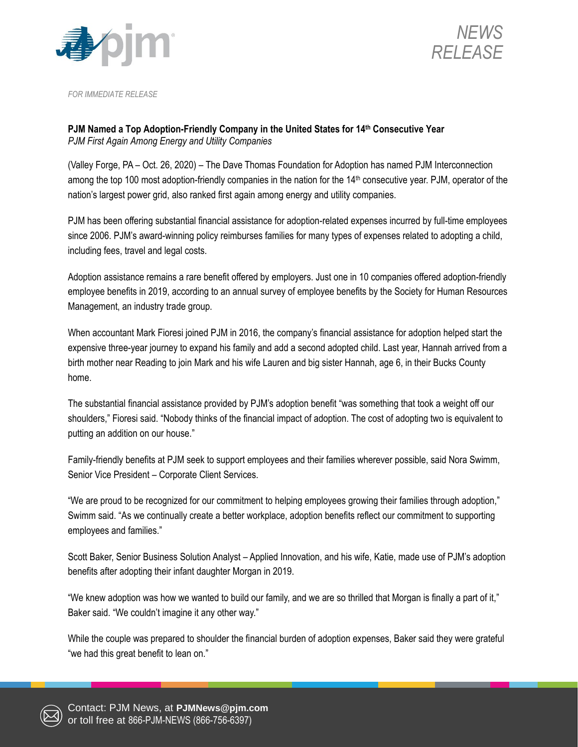



*FOR IMMEDIATE RELEASE*

## **PJM Named a Top Adoption-Friendly Company in the United States for 14th Consecutive Year** *PJM First Again Among Energy and Utility Companies*

(Valley Forge, PA – Oct. 26, 2020) – The Dave Thomas Foundation for Adoption has named PJM Interconnection among the top 100 most adoption-friendly companies in the nation for the 14th consecutive year. PJM, operator of the nation's largest power grid, also ranked first again among energy and utility companies.

PJM has been offering substantial financial assistance for adoption-related expenses incurred by full-time employees since 2006. PJM's award-winning policy reimburses families for many types of expenses related to adopting a child, including fees, travel and legal costs.

Adoption assistance remains a rare benefit offered by employers. Just one in 10 companies offered adoption-friendly employee benefits in 2019, according to an annual survey of employee benefits by the Society for Human Resources Management, an industry trade group.

When accountant Mark Fioresi joined PJM in 2016, the company's financial assistance for adoption helped start the expensive three-year journey to expand his family and add a second adopted child. Last year, Hannah arrived from a birth mother near Reading to join Mark and his wife Lauren and big sister Hannah, age 6, in their Bucks County home.

The substantial financial assistance provided by PJM's adoption benefit "was something that took a weight off our shoulders," Fioresi said. "Nobody thinks of the financial impact of adoption. The cost of adopting two is equivalent to putting an addition on our house."

Family-friendly benefits at PJM seek to support employees and their families wherever possible, said Nora Swimm, Senior Vice President – Corporate Client Services.

"We are proud to be recognized for our commitment to helping employees growing their families through adoption," Swimm said. "As we continually create a better workplace, adoption benefits reflect our commitment to supporting employees and families."

Scott Baker, Senior Business Solution Analyst – Applied Innovation, and his wife, Katie, made use of PJM's adoption benefits after adopting their infant daughter Morgan in 2019.

"We knew adoption was how we wanted to build our family, and we are so thrilled that Morgan is finally a part of it," Baker said. "We couldn't imagine it any other way."

While the couple was prepared to shoulder the financial burden of adoption expenses, Baker said they were grateful "we had this great benefit to lean on."